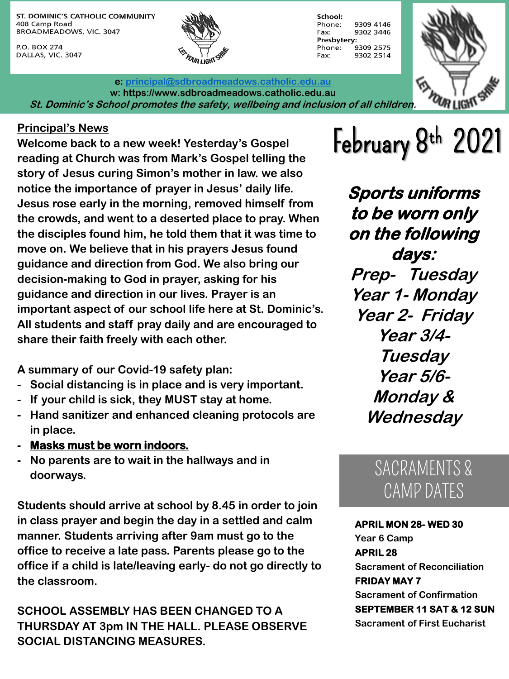ST. DOMINIC'S CATHOLIC COMMUNITY 408 Camp Road BROADMEADOWS, VIC. 3047

P.O. BOX 274 DALLAS, VIC. 3047





**e: [principal@sdbroadmeadows.catholic.edu.au](mailto:principal@sdbroadmeadows.catholic.edu.au) w: https://www.sdbroadmeadows.catholic.edu.au St. Dominic's School promotes the safety, wellbeing and inclusion of all children.**

Principal's News<br>Welcome back to a new week! Yesterday's Gospel **February 8th 2021**<br>reading at Church was from Mark's Cosmal Liling (i **Welcome back to a new week! Yesterday's Gospel reading at Church was from Mark's Gospel telling the story of Jesus curing Simon's mother in law. we also notice the importance of prayer in Jesus' daily life. Jesus rose early in the morning, removed himself from the crowds, and went to a deserted place to pray. When the disciples found him, he told them that it was time to move on. We believe that in his prayers Jesus found guidance and direction from God. We also bring our decision-making to God in prayer, asking for his guidance and direction in our lives. Prayer is an important aspect of our school life here at St. Dominic's. All students and staff pray daily and are encouraged to share their faith freely with each other.**

**A summary of our Covid-19 safety plan:**

- **- Social distancing is in place and is very important.**
- **- If your child is sick, they MUST stay at home.**
- **- Hand sanitizer and enhanced cleaning protocols are in place.**
- **- Masks must be worn indoors.**
- **- No parents are to wait in the hallways and in doorways.**

**Students should arrive at school by 8.45 in order to join in class prayer and begin the day in a settled and calm manner. Students arriving after 9am must go to the office to receive a late pass. Parents please go to the office if a child is late/leaving early- do not go directly to the classroom.**

**SCHOOL ASSEMBLY HAS BEEN CHANGED TO A THURSDAY AT 3pm IN THE HALL. PLEASE OBSERVE SOCIAL DISTANCING MEASURES.**

**Sports uniforms to be worn only on the following days:**

**Prep- Tuesday Year 1- Monday Year 2- Friday Year 3/4- Tuesday Year 5/6- Monday & Wednesday**

### SACRAMENTS & CAMP DATES

**APRIL MON 28- WED 30 Year 6 Camp APRIL 28 Sacrament of Reconciliation FRIDAY MAY 7 Sacrament of Confirmation SEPTEMBER 11 SAT & 12 SUN Sacrament of First Eucharist**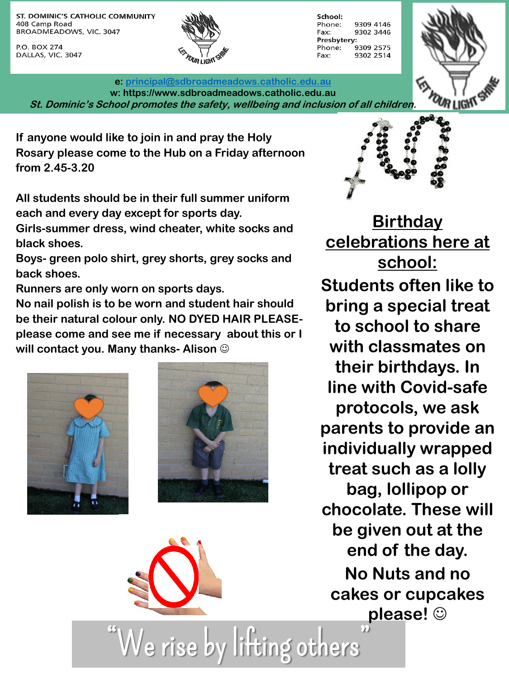ST. DOMINIC'S CATHOLIC COMMUNITY 408 Camp Road BROADMEADOWS, VIC. 3047

P.O. BOX 274 DALLAS, VIC. 3047



School: 9309 4146 Phone: Fax: 9302 3446 Presbytery: Phone: 9309 2575 9302 2514 Fax:



**e: [principal@sdbroadmeadows.catholic.edu.au](mailto:principal@sdbroadmeadows.catholic.edu.au) w: https://www.sdbroadmeadows.catholic.edu.au St. Dominic's School promotes the safety, wellbeing and inclusion of all children.**

**If anyone would like to join in and pray the Holy Rosary please come to the Hub on a Friday afternoon from 2.45-3.20**

**All students should be in their full summer uniform each and every day except for sports day.**

**Girls-summer dress, wind cheater, white socks and black shoes.**

**Boys- green polo shirt, grey shorts, grey socks and back shoes.**

**Runners are only worn on sports days.**

**No nail polish is to be worn and student hair should be their natural colour only. NO DYED HAIR PLEASEplease come and see me if necessary about this or I will contact you. Many thanks- Alison** 







**Birthday celebrations here at school:**

**Students often like to bring a special treat to school to share with classmates on their birthdays. In line with Covid-safe protocols, we ask parents to provide an individually wrapped treat such as a lolly bag, lollipop or chocolate. These will be given out at the end of the day. No Nuts and no cakes or cupcakes please!** 

We rise by lifting others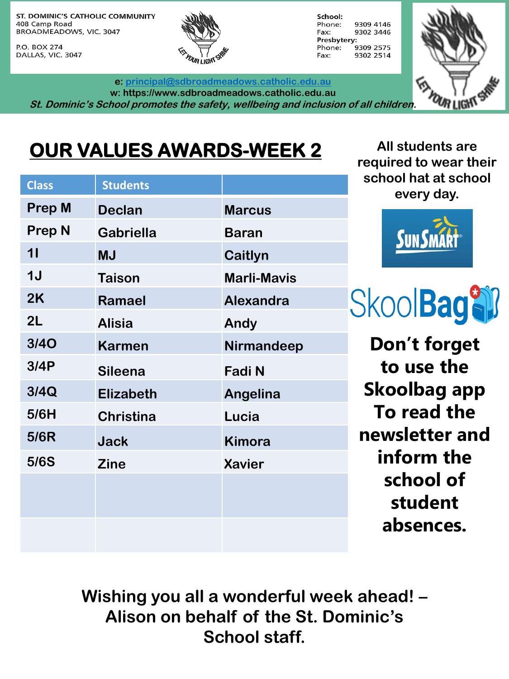ST. DOMINIC'S CATHOLIC COMMUNITY 408 Camp Road BROADMEADOWS, VIC. 3047

P.O. BOX 274 DALLAS, VIC. 3047



**e: [principal@sdbroadmeadows.catholic.edu.au](mailto:principal@sdbroadmeadows.catholic.edu.au) w: https://www.sdbroadmeadows.catholic.edu.au**

School: 9309 4146 Phone: Fax: 9302 3446 Presbytery: Phone: 9309 2575 9302 2514 Fax:



## **OUR VALUES AWARDS-WEEK 2**

| <b>Class</b>  | <b>Students</b>  |                    |
|---------------|------------------|--------------------|
| <b>Prep M</b> | <b>Declan</b>    | <b>Marcus</b>      |
| <b>Prep N</b> | <b>Gabriella</b> | <b>Baran</b>       |
| 11            | <b>MJ</b>        | Caitlyn            |
| 1J            | <b>Taison</b>    | <b>Marli-Mavis</b> |
| 2K            | Ramael           | <b>Alexandra</b>   |
| 2L            | <b>Alisia</b>    | Andy               |
| <b>3/40</b>   | <b>Karmen</b>    | Nirmandeep         |
| 3/4P          | <b>Sileena</b>   | <b>Fadi N</b>      |
| 3/4Q          | <b>Elizabeth</b> | Angelina           |
| 5/6H          | <b>Christina</b> | Lucia              |
| 5/6R          | <b>Jack</b>      | <b>Kimora</b>      |
| 5/6S          | <b>Zine</b>      | <b>Xavier</b>      |
|               |                  |                    |
|               |                  |                    |
|               |                  |                    |

**All students are required to wear their school hat at school every day.**



**SkoolBageli** 

**Don't forget to use the Skoolbag app To read the newsletter and inform the school of student absences.**

**Wishing you all a wonderful week ahead! – Alison on behalf of the St. Dominic's School staff.**